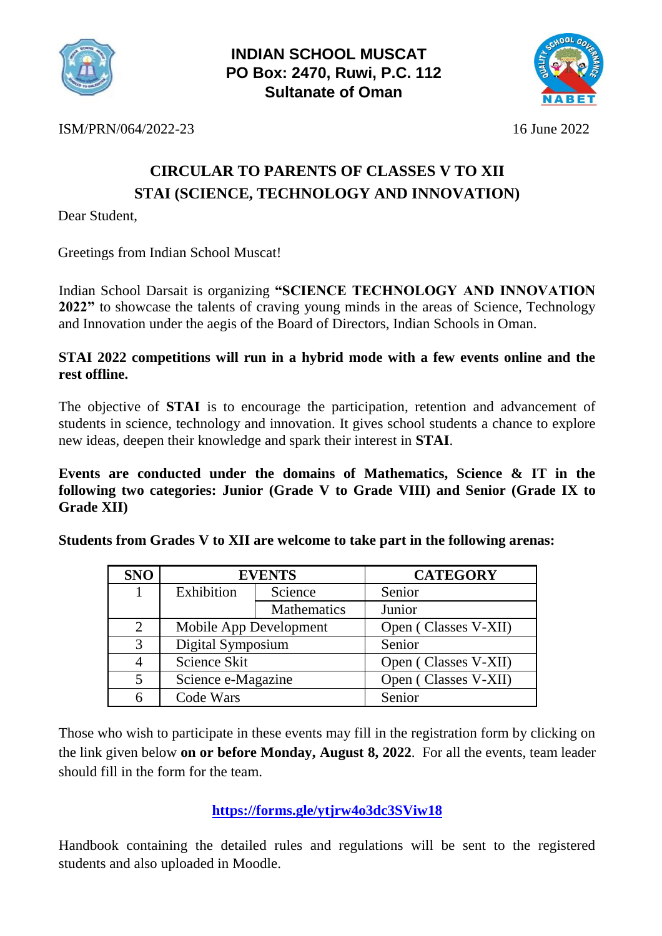

**INDIAN SCHOOL MUSCAT PO Box: 2470, Ruwi, P.C. 112 Sultanate of Oman**



ISM/PRN/064/2022-23 16 June 2022

## **CIRCULAR TO PARENTS OF CLASSES V TO XII STAI (SCIENCE, TECHNOLOGY AND INNOVATION)**

Dear Student,

Greetings from Indian School Muscat!

Indian School Darsait is organizing **"SCIENCE TECHNOLOGY AND INNOVATION 2022"** to showcase the talents of craving young minds in the areas of Science, Technology and Innovation under the aegis of the Board of Directors, Indian Schools in Oman.

## **STAI 2022 competitions will run in a hybrid mode with a few events online and the rest offline.**

The objective of **STAI** is to encourage the participation, retention and advancement of students in science, technology and innovation. It gives school students a chance to explore new ideas, deepen their knowledge and spark their interest in **STAI**.

**Events are conducted under the domains of Mathematics, Science & IT in the following two categories: Junior (Grade V to Grade VIII) and Senior (Grade IX to Grade XII)**

**Students from Grades V to XII are welcome to take part in the following arenas:**

| <b>SNO</b> | <b>EVENTS</b>          |             | <b>CATEGORY</b>      |
|------------|------------------------|-------------|----------------------|
|            | Exhibition             | Science     | Senior               |
|            |                        | Mathematics | Junior               |
| 2          | Mobile App Development |             | Open (Classes V-XII) |
| 3          | Digital Symposium      |             | Senior               |
|            | Science Skit           |             | Open (Classes V-XII) |
| 5          | Science e-Magazine     |             | Open (Classes V-XII) |
|            | Code Wars              |             | Senior               |

Those who wish to participate in these events may fill in the registration form by clicking on the link given below **on or before Monday, August 8, 2022**. For all the events, team leader should fill in the form for the team.

## **<https://forms.gle/ytjrw4o3dc3SViw18>**

Handbook containing the detailed rules and regulations will be sent to the registered students and also uploaded in Moodle.